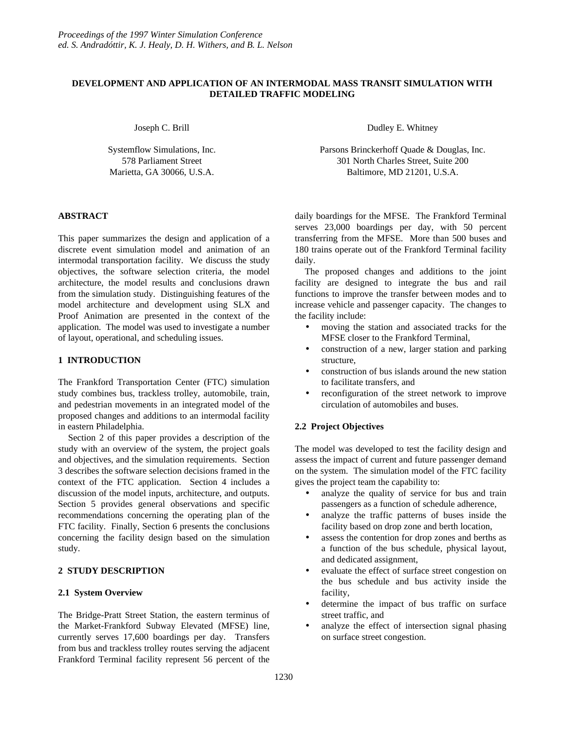# **DEVELOPMENT AND APPLICATION OF AN INTERMODAL MASS TRANSIT SIMULATION WITH DETAILED TRAFFIC MODELING**

Joseph C. Brill

Systemflow Simulations, Inc. 578 Parliament Street Marietta, GA 30066, U.S.A.

## **ABSTRACT**

This paper summarizes the design and application of a discrete event simulation model and animation of an intermodal transportation facility. We discuss the study objectives, the software selection criteria, the model architecture, the model results and conclusions drawn from the simulation study. Distinguishing features of the model architecture and development using SLX and Proof Animation are presented in the context of the application. The model was used to investigate a number of layout, operational, and scheduling issues.

## **1 INTRODUCTION**

The Frankford Transportation Center (FTC) simulation study combines bus, trackless trolley, automobile, train, and pedestrian movements in an integrated model of the proposed changes and additions to an intermodal facility in eastern Philadelphia.

Section 2 of this paper provides a description of the study with an overview of the system, the project goals and objectives, and the simulation requirements. Section 3 describes the software selection decisions framed in the context of the FTC application. Section 4 includes a discussion of the model inputs, architecture, and outputs. Section 5 provides general observations and specific recommendations concerning the operating plan of the FTC facility. Finally, Section 6 presents the conclusions concerning the facility design based on the simulation study.

# **2 STUDY DESCRIPTION**

## **2.1 System Overview**

The Bridge-Pratt Street Station, the eastern terminus of the Market-Frankford Subway Elevated (MFSE) line, currently serves 17,600 boardings per day. Transfers from bus and trackless trolley routes serving the adjacent Frankford Terminal facility represent 56 percent of the

Dudley E. Whitney

Parsons Brinckerhoff Quade & Douglas, Inc. 301 North Charles Street, Suite 200 Baltimore, MD 21201, U.S.A.

daily boardings for the MFSE. The Frankford Terminal serves 23,000 boardings per day, with 50 percent transferring from the MFSE. More than 500 buses and 180 trains operate out of the Frankford Terminal facility daily.

The proposed changes and additions to the joint facility are designed to integrate the bus and rail functions to improve the transfer between modes and to increase vehicle and passenger capacity. The changes to the facility include:

- moving the station and associated tracks for the MFSE closer to the Frankford Terminal,
- construction of a new, larger station and parking structure,
- construction of bus islands around the new station to facilitate transfers, and
- reconfiguration of the street network to improve circulation of automobiles and buses.

## **2.2 Project Objectives**

The model was developed to test the facility design and assess the impact of current and future passenger demand on the system. The simulation model of the FTC facility gives the project team the capability to:

- analyze the quality of service for bus and train passengers as a function of schedule adherence,
- analyze the traffic patterns of buses inside the facility based on drop zone and berth location,
- assess the contention for drop zones and berths as a function of the bus schedule, physical layout, and dedicated assignment,
- evaluate the effect of surface street congestion on the bus schedule and bus activity inside the facility,
- determine the impact of bus traffic on surface street traffic, and
- analyze the effect of intersection signal phasing on surface street congestion.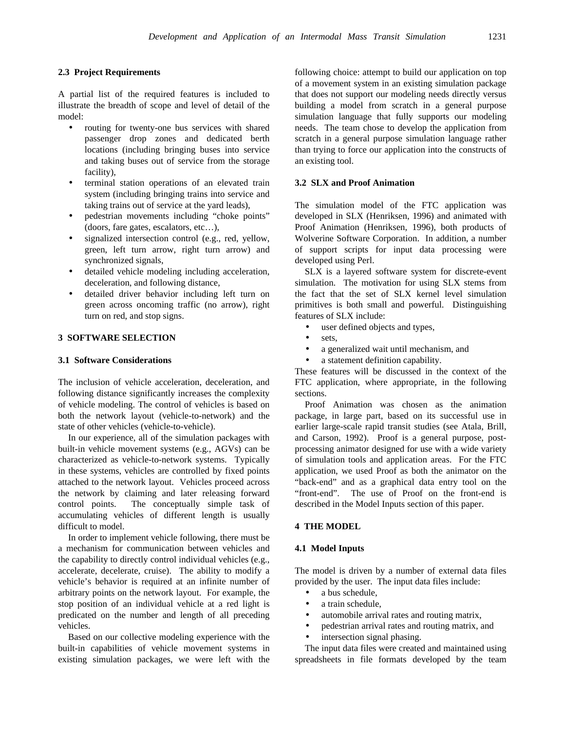### **2.3 Project Requirements**

A partial list of the required features is included to illustrate the breadth of scope and level of detail of the model:

- routing for twenty-one bus services with shared passenger drop zones and dedicated berth locations (including bringing buses into service and taking buses out of service from the storage facility),
- terminal station operations of an elevated train system (including bringing trains into service and taking trains out of service at the yard leads),
- pedestrian movements including "choke points" (doors, fare gates, escalators, etc…),
- signalized intersection control (e.g., red, yellow, green, left turn arrow, right turn arrow) and synchronized signals,
- detailed vehicle modeling including acceleration, deceleration, and following distance,
- detailed driver behavior including left turn on green across oncoming traffic (no arrow), right turn on red, and stop signs.

#### **3 SOFTWARE SELECTION**

#### **3.1 Software Considerations**

The inclusion of vehicle acceleration, deceleration, and following distance significantly increases the complexity of vehicle modeling. The control of vehicles is based on both the network layout (vehicle-to-network) and the state of other vehicles (vehicle-to-vehicle).

In our experience, all of the simulation packages with built-in vehicle movement systems (e.g., AGVs) can be characterized as vehicle-to-network systems. Typically in these systems, vehicles are controlled by fixed points attached to the network layout. Vehicles proceed across the network by claiming and later releasing forward control points. The conceptually simple task of accumulating vehicles of different length is usually difficult to model.

In order to implement vehicle following, there must be a mechanism for communication between vehicles and the capability to directly control individual vehicles (e.g., accelerate, decelerate, cruise). The ability to modify a vehicle's behavior is required at an infinite number of arbitrary points on the network layout. For example, the stop position of an individual vehicle at a red light is predicated on the number and length of all preceding vehicles.

Based on our collective modeling experience with the built-in capabilities of vehicle movement systems in existing simulation packages, we were left with the following choice: attempt to build our application on top of a movement system in an existing simulation package that does not support our modeling needs directly versus building a model from scratch in a general purpose simulation language that fully supports our modeling needs. The team chose to develop the application from scratch in a general purpose simulation language rather than trying to force our application into the constructs of an existing tool.

### **3.2 SLX and Proof Animation**

The simulation model of the FTC application was developed in SLX (Henriksen, 1996) and animated with Proof Animation (Henriksen, 1996), both products of Wolverine Software Corporation. In addition, a number of support scripts for input data processing were developed using Perl.

SLX is a layered software system for discrete-event simulation. The motivation for using SLX stems from the fact that the set of SLX kernel level simulation primitives is both small and powerful. Distinguishing features of SLX include:

- user defined objects and types,
- sets,
- a generalized wait until mechanism, and
- a statement definition capability.

These features will be discussed in the context of the FTC application, where appropriate, in the following sections.

Proof Animation was chosen as the animation package, in large part, based on its successful use in earlier large-scale rapid transit studies (see Atala, Brill, and Carson, 1992). Proof is a general purpose, postprocessing animator designed for use with a wide variety of simulation tools and application areas. For the FTC application, we used Proof as both the animator on the "back-end" and as a graphical data entry tool on the "front-end". The use of Proof on the front-end is described in the Model Inputs section of this paper.

#### **4 THE MODEL**

#### **4.1 Model Inputs**

The model is driven by a number of external data files provided by the user. The input data files include:

- a bus schedule,
- a train schedule.
- automobile arrival rates and routing matrix,
- pedestrian arrival rates and routing matrix, and
- intersection signal phasing.

The input data files were created and maintained using spreadsheets in file formats developed by the team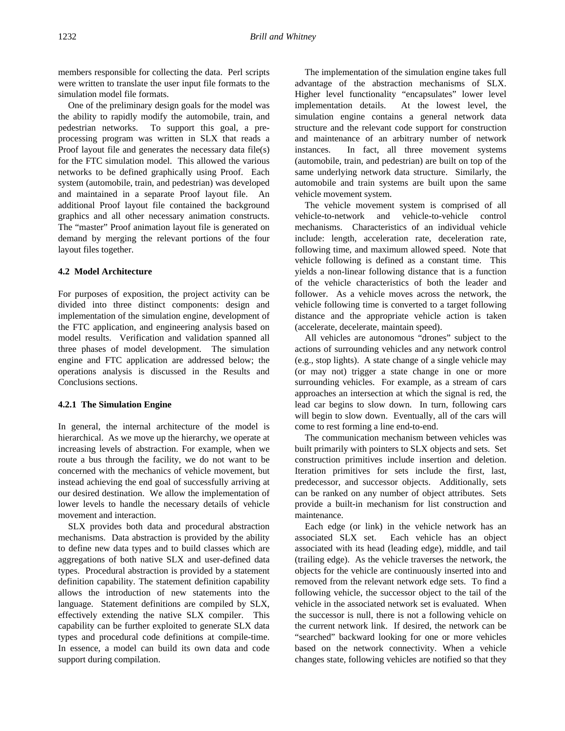members responsible for collecting the data. Perl scripts were written to translate the user input file formats to the simulation model file formats.

One of the preliminary design goals for the model was the ability to rapidly modify the automobile, train, and pedestrian networks. To support this goal, a preprocessing program was written in SLX that reads a Proof layout file and generates the necessary data file(s) for the FTC simulation model. This allowed the various networks to be defined graphically using Proof. Each system (automobile, train, and pedestrian) was developed and maintained in a separate Proof layout file. An additional Proof layout file contained the background graphics and all other necessary animation constructs. The "master" Proof animation layout file is generated on demand by merging the relevant portions of the four layout files together.

#### **4.2 Model Architecture**

For purposes of exposition, the project activity can be divided into three distinct components: design and implementation of the simulation engine, development of the FTC application, and engineering analysis based on model results. Verification and validation spanned all three phases of model development. The simulation engine and FTC application are addressed below; the operations analysis is discussed in the Results and Conclusions sections.

#### **4.2.1 The Simulation Engine**

In general, the internal architecture of the model is hierarchical. As we move up the hierarchy, we operate at increasing levels of abstraction. For example, when we route a bus through the facility, we do not want to be concerned with the mechanics of vehicle movement, but instead achieving the end goal of successfully arriving at our desired destination. We allow the implementation of lower levels to handle the necessary details of vehicle movement and interaction.

SLX provides both data and procedural abstraction mechanisms. Data abstraction is provided by the ability to define new data types and to build classes which are aggregations of both native SLX and user-defined data types. Procedural abstraction is provided by a statement definition capability. The statement definition capability allows the introduction of new statements into the language. Statement definitions are compiled by SLX, effectively extending the native SLX compiler. This capability can be further exploited to generate SLX data types and procedural code definitions at compile-time. In essence, a model can build its own data and code support during compilation.

The implementation of the simulation engine takes full advantage of the abstraction mechanisms of SLX. Higher level functionality "encapsulates" lower level implementation details. At the lowest level, the simulation engine contains a general network data structure and the relevant code support for construction and maintenance of an arbitrary number of network instances. In fact, all three movement systems (automobile, train, and pedestrian) are built on top of the same underlying network data structure. Similarly, the automobile and train systems are built upon the same vehicle movement system.

The vehicle movement system is comprised of all vehicle-to-network and vehicle-to-vehicle control mechanisms. Characteristics of an individual vehicle include: length, acceleration rate, deceleration rate, following time, and maximum allowed speed. Note that vehicle following is defined as a constant time. This yields a non-linear following distance that is a function of the vehicle characteristics of both the leader and follower. As a vehicle moves across the network, the vehicle following time is converted to a target following distance and the appropriate vehicle action is taken (accelerate, decelerate, maintain speed).

All vehicles are autonomous "drones" subject to the actions of surrounding vehicles and any network control (e.g., stop lights). A state change of a single vehicle may (or may not) trigger a state change in one or more surrounding vehicles. For example, as a stream of cars approaches an intersection at which the signal is red, the lead car begins to slow down. In turn, following cars will begin to slow down. Eventually, all of the cars will come to rest forming a line end-to-end.

The communication mechanism between vehicles was built primarily with pointers to SLX objects and sets. Set construction primitives include insertion and deletion. Iteration primitives for sets include the first, last, predecessor, and successor objects. Additionally, sets can be ranked on any number of object attributes. Sets provide a built-in mechanism for list construction and maintenance.

Each edge (or link) in the vehicle network has an associated SLX set. Each vehicle has an object associated with its head (leading edge), middle, and tail (trailing edge). As the vehicle traverses the network, the objects for the vehicle are continuously inserted into and removed from the relevant network edge sets. To find a following vehicle, the successor object to the tail of the vehicle in the associated network set is evaluated. When the successor is null, there is not a following vehicle on the current network link. If desired, the network can be "searched" backward looking for one or more vehicles based on the network connectivity. When a vehicle changes state, following vehicles are notified so that they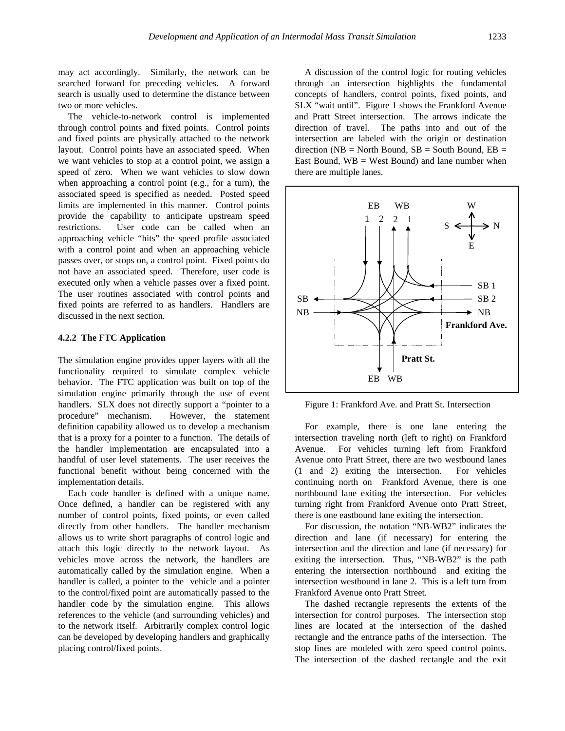may act accordingly. Similarly, the network can be searched forward for preceding vehicles. A forward search is usually used to determine the distance between two or more vehicles.

The vehicle-to-network control is implemented through control points and fixed points. Control points and fixed points are physically attached to the network layout. Control points have an associated speed. When we want vehicles to stop at a control point, we assign a speed of zero. When we want vehicles to slow down when approaching a control point (e.g., for a turn), the associated speed is specified as needed. Posted speed limits are implemented in this manner. Control points provide the capability to anticipate upstream speed restrictions. User code can be called when an approaching vehicle "hits" the speed profile associated with a control point and when an approaching vehicle passes over, or stops on, a control point. Fixed points do not have an associated speed. Therefore, user code is executed only when a vehicle passes over a fixed point. The user routines associated with control points and fixed points are referred to as handlers. Handlers are discussed in the next section.

#### **4.2.2 The FTC Application**

The simulation engine provides upper layers with all the functionality required to simulate complex vehicle behavior. The FTC application was built on top of the simulation engine primarily through the use of event handlers. SLX does not directly support a "pointer to a procedure" mechanism. However, the statement definition capability allowed us to develop a mechanism that is a proxy for a pointer to a function. The details of the handler implementation are encapsulated into a handful of user level statements. The user receives the functional benefit without being concerned with the implementation details.

Each code handler is defined with a unique name. Once defined, a handler can be registered with any number of control points, fixed points, or even called directly from other handlers. The handler mechanism allows us to write short paragraphs of control logic and attach this logic directly to the network layout. As vehicles move across the network, the handlers are automatically called by the simulation engine. When a handler is called, a pointer to the vehicle and a pointer to the control/fixed point are automatically passed to the handler code by the simulation engine. This allows references to the vehicle (and surrounding vehicles) and to the network itself. Arbitrarily complex control logic can be developed by developing handlers and graphically placing control/fixed points.

A discussion of the control logic for routing vehicles through an intersection highlights the fundamental concepts of handlers, control points, fixed points, and SLX "wait until". Figure 1 shows the Frankford Avenue and Pratt Street intersection. The arrows indicate the direction of travel. The paths into and out of the intersection are labeled with the origin or destination direction ( $NB = North Bound$ ,  $SB = South Bound$ ,  $EB =$ East Bound,  $WB = West Bound$  and lane number when there are multiple lanes.



Figure 1: Frankford Ave. and Pratt St. Intersection

For example, there is one lane entering the intersection traveling north (left to right) on Frankford Avenue. For vehicles turning left from Frankford Avenue onto Pratt Street, there are two westbound lanes (1 and 2) exiting the intersection. For vehicles continuing north on Frankford Avenue, there is one northbound lane exiting the intersection. For vehicles turning right from Frankford Avenue onto Pratt Street, there is one eastbound lane exiting the intersection.

For discussion, the notation "NB-WB2" indicates the direction and lane (if necessary) for entering the intersection and the direction and lane (if necessary) for exiting the intersection. Thus, "NB-WB2" is the path entering the intersection northbound and exiting the intersection westbound in lane 2. This is a left turn from Frankford Avenue onto Pratt Street.

The dashed rectangle represents the extents of the intersection for control purposes. The intersection stop lines are located at the intersection of the dashed rectangle and the entrance paths of the intersection. The stop lines are modeled with zero speed control points. The intersection of the dashed rectangle and the exit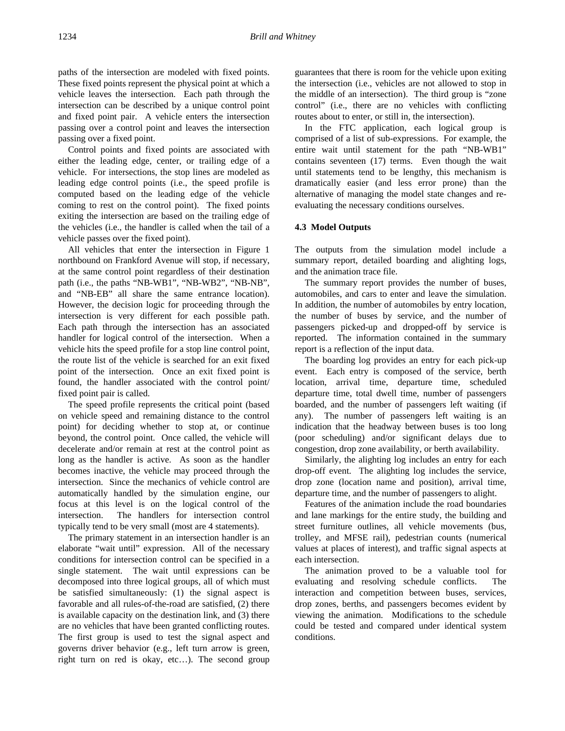paths of the intersection are modeled with fixed points. These fixed points represent the physical point at which a vehicle leaves the intersection. Each path through the intersection can be described by a unique control point and fixed point pair. A vehicle enters the intersection passing over a control point and leaves the intersection passing over a fixed point.

Control points and fixed points are associated with either the leading edge, center, or trailing edge of a vehicle. For intersections, the stop lines are modeled as leading edge control points (i.e., the speed profile is computed based on the leading edge of the vehicle coming to rest on the control point). The fixed points exiting the intersection are based on the trailing edge of the vehicles (i.e., the handler is called when the tail of a vehicle passes over the fixed point).

All vehicles that enter the intersection in Figure 1 northbound on Frankford Avenue will stop, if necessary, at the same control point regardless of their destination path (i.e., the paths "NB-WB1", "NB-WB2", "NB-NB", and "NB-EB" all share the same entrance location). However, the decision logic for proceeding through the intersection is very different for each possible path. Each path through the intersection has an associated handler for logical control of the intersection. When a vehicle hits the speed profile for a stop line control point, the route list of the vehicle is searched for an exit fixed point of the intersection. Once an exit fixed point is found, the handler associated with the control point/ fixed point pair is called.

The speed profile represents the critical point (based on vehicle speed and remaining distance to the control point) for deciding whether to stop at, or continue beyond, the control point. Once called, the vehicle will decelerate and/or remain at rest at the control point as long as the handler is active. As soon as the handler becomes inactive, the vehicle may proceed through the intersection. Since the mechanics of vehicle control are automatically handled by the simulation engine, our focus at this level is on the logical control of the intersection. The handlers for intersection control typically tend to be very small (most are 4 statements).

The primary statement in an intersection handler is an elaborate "wait until" expression. All of the necessary conditions for intersection control can be specified in a single statement. The wait until expressions can be decomposed into three logical groups, all of which must be satisfied simultaneously: (1) the signal aspect is favorable and all rules-of-the-road are satisfied, (2) there is available capacity on the destination link, and (3) there are no vehicles that have been granted conflicting routes. The first group is used to test the signal aspect and governs driver behavior (e.g., left turn arrow is green, right turn on red is okay, etc…). The second group

guarantees that there is room for the vehicle upon exiting the intersection (i.e., vehicles are not allowed to stop in the middle of an intersection). The third group is "zone control" (i.e., there are no vehicles with conflicting routes about to enter, or still in, the intersection).

In the FTC application, each logical group is comprised of a list of sub-expressions. For example, the entire wait until statement for the path "NB-WB1" contains seventeen (17) terms. Even though the wait until statements tend to be lengthy, this mechanism is dramatically easier (and less error prone) than the alternative of managing the model state changes and reevaluating the necessary conditions ourselves.

### **4.3 Model Outputs**

The outputs from the simulation model include a summary report, detailed boarding and alighting logs, and the animation trace file.

The summary report provides the number of buses, automobiles, and cars to enter and leave the simulation. In addition, the number of automobiles by entry location, the number of buses by service, and the number of passengers picked-up and dropped-off by service is reported. The information contained in the summary report is a reflection of the input data.

The boarding log provides an entry for each pick-up event. Each entry is composed of the service, berth location, arrival time, departure time, scheduled departure time, total dwell time, number of passengers boarded, and the number of passengers left waiting (if any). The number of passengers left waiting is an indication that the headway between buses is too long (poor scheduling) and/or significant delays due to congestion, drop zone availability, or berth availability.

Similarly, the alighting log includes an entry for each drop-off event. The alighting log includes the service, drop zone (location name and position), arrival time, departure time, and the number of passengers to alight.

Features of the animation include the road boundaries and lane markings for the entire study, the building and street furniture outlines, all vehicle movements (bus, trolley, and MFSE rail), pedestrian counts (numerical values at places of interest), and traffic signal aspects at each intersection.

The animation proved to be a valuable tool for evaluating and resolving schedule conflicts. The interaction and competition between buses, services, drop zones, berths, and passengers becomes evident by viewing the animation. Modifications to the schedule could be tested and compared under identical system conditions.